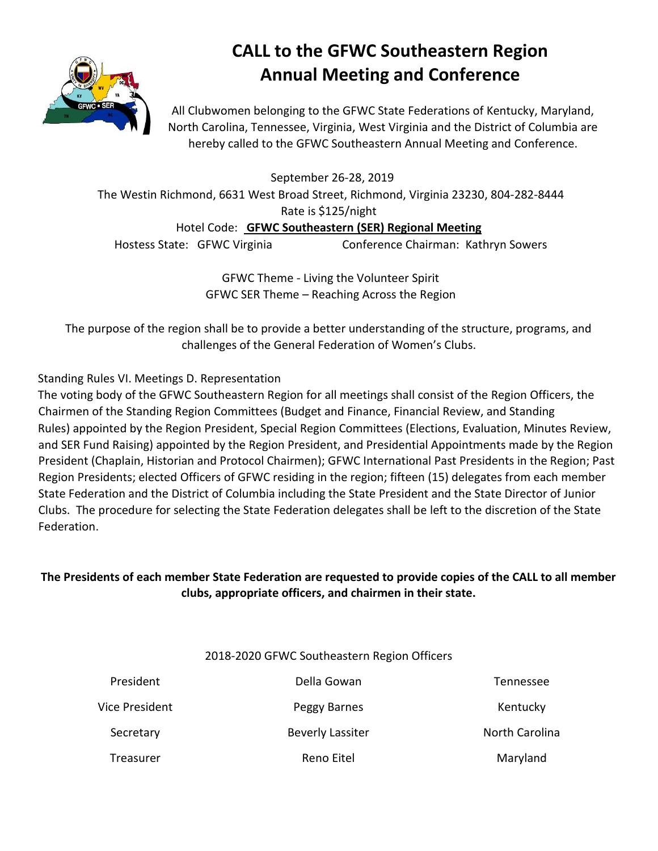

# **CALL to the GFWC Southeastern Region Annual Meeting and Conference**

All Clubwomen belonging to the GFWC State Federations of Kentucky, Maryland, North Carolina, Tennessee, Virginia, West Virginia and the District of Columbia are hereby called to the GFWC Southeastern Annual Meeting and Conference.

September 26-28, 2019

The Westin Richmond, 6631 West Broad Street, Richmond, Virginia 23230, 804-282-8444 Rate is \$125/night

Hotel Code: **GFWC Southeastern (SER) Regional Meeting**

Hostess State: GFWC Virginia Conference Chairman: Kathryn Sowers

GFWC Theme - Living the Volunteer Spirit GFWC SER Theme – Reaching Across the Region

The purpose of the region shall be to provide a better understanding of the structure, programs, and challenges of the General Federation of Women's Clubs.

#### Standing Rules VI. Meetings D. Representation

The voting body of the GFWC Southeastern Region for all meetings shall consist of the Region Officers, the Chairmen of the Standing Region Committees (Budget and Finance, Financial Review, and Standing Rules) appointed by the Region President, Special Region Committees (Elections, Evaluation, Minutes Review, and SER Fund Raising) appointed by the Region President, and Presidential Appointments made by the Region President (Chaplain, Historian and Protocol Chairmen); GFWC International Past Presidents in the Region; Past Region Presidents; elected Officers of GFWC residing in the region; fifteen (15) delegates from each member State Federation and the District of Columbia including the State President and the State Director of Junior Clubs. The procedure for selecting the State Federation delegates shall be left to the discretion of the State Federation.

### **The Presidents of each member State Federation are requested to provide copies of the CALL to all member clubs, appropriate officers, and chairmen in their state.**

#### 2018-2020 GFWC Southeastern Region Officers

| President      | Della Gowan             | Tennessee             |
|----------------|-------------------------|-----------------------|
| Vice President | Peggy Barnes            | Kentucky              |
| Secretary      | <b>Beverly Lassiter</b> | <b>North Carolina</b> |
| Treasurer      | Reno Eitel              | Maryland              |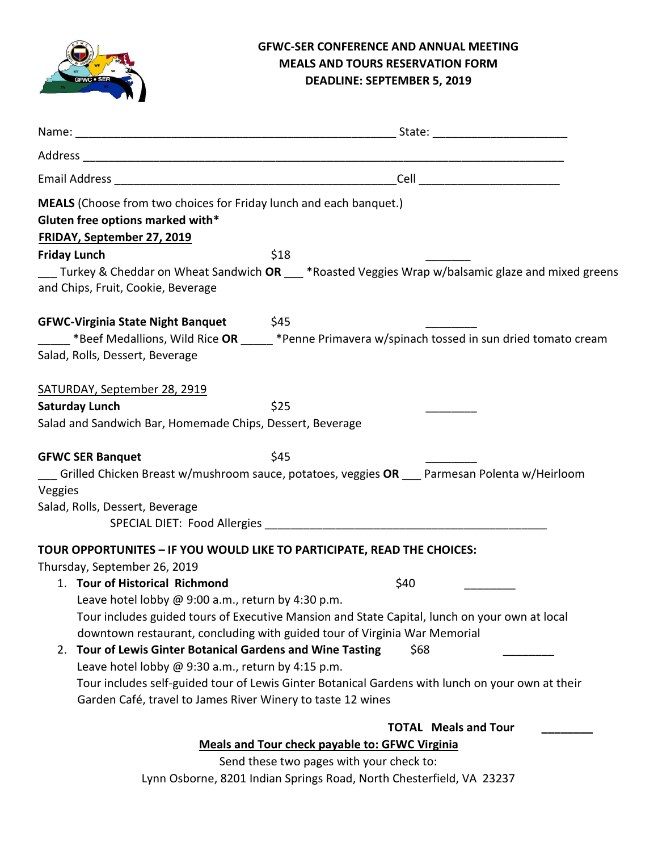

#### **GFWC-SER CONFERENCE AND ANNUAL MEETING MEALS AND TOURS RESERVATION FORM DEADLINE: SEPTEMBER 5, 2019**

| MEALS (Choose from two choices for Friday lunch and each banquet.)<br>Gluten free options marked with*<br>FRIDAY, September 27, 2019 |                                                                                                   |
|--------------------------------------------------------------------------------------------------------------------------------------|---------------------------------------------------------------------------------------------------|
| <b>Friday Lunch</b>                                                                                                                  | \$18                                                                                              |
| and Chips, Fruit, Cookie, Beverage                                                                                                   | Turkey & Cheddar on Wheat Sandwich OR *Roasted Veggies Wrap w/balsamic glaze and mixed greens     |
| <b>GFWC-Virginia State Night Banquet</b>                                                                                             | \$45                                                                                              |
|                                                                                                                                      | Elect Medallions, Wild Rice OR ______ *Penne Primavera w/spinach tossed in sun dried tomato cream |
| Salad, Rolls, Dessert, Beverage                                                                                                      |                                                                                                   |
| SATURDAY, September 28, 2919                                                                                                         |                                                                                                   |
| <b>Saturday Lunch</b>                                                                                                                | \$25                                                                                              |
| Salad and Sandwich Bar, Homemade Chips, Dessert, Beverage                                                                            |                                                                                                   |
| <b>GFWC SER Banquet</b>                                                                                                              | \$45                                                                                              |
| Veggies                                                                                                                              | Grilled Chicken Breast w/mushroom sauce, potatoes, veggies OR __ Parmesan Polenta w/Heirloom      |
| Salad, Rolls, Dessert, Beverage                                                                                                      |                                                                                                   |
|                                                                                                                                      |                                                                                                   |
| TOUR OPPORTUNITES - IF YOU WOULD LIKE TO PARTICIPATE, READ THE CHOICES:                                                              |                                                                                                   |
| Thursday, September 26, 2019                                                                                                         |                                                                                                   |
| 1. Tour of Historical Richmond                                                                                                       | \$40                                                                                              |
| Leave hotel lobby $\omega$ 9:00 a.m., return by 4:30 p.m.                                                                            |                                                                                                   |
|                                                                                                                                      | Tour includes guided tours of Executive Mansion and State Capital, lunch on your own at local     |
|                                                                                                                                      | downtown restaurant, concluding with guided tour of Virginia War Memorial                         |
| 2. Tour of Lewis Ginter Botanical Gardens and Wine Tasting                                                                           | \$68                                                                                              |
| Leave hotel lobby @ 9:30 a.m., return by 4:15 p.m.                                                                                   |                                                                                                   |
| Garden Café, travel to James River Winery to taste 12 wines                                                                          | Tour includes self-guided tour of Lewis Ginter Botanical Gardens with lunch on your own at their  |
|                                                                                                                                      | <b>TOTAL Meals and Tour</b>                                                                       |
|                                                                                                                                      | <b>Meals and Tour check payable to: GFWC Virginia</b>                                             |
|                                                                                                                                      | Send these two pages with your check to:                                                          |

Lynn Osborne, 8201 Indian Springs Road, North Chesterfield, VA 23237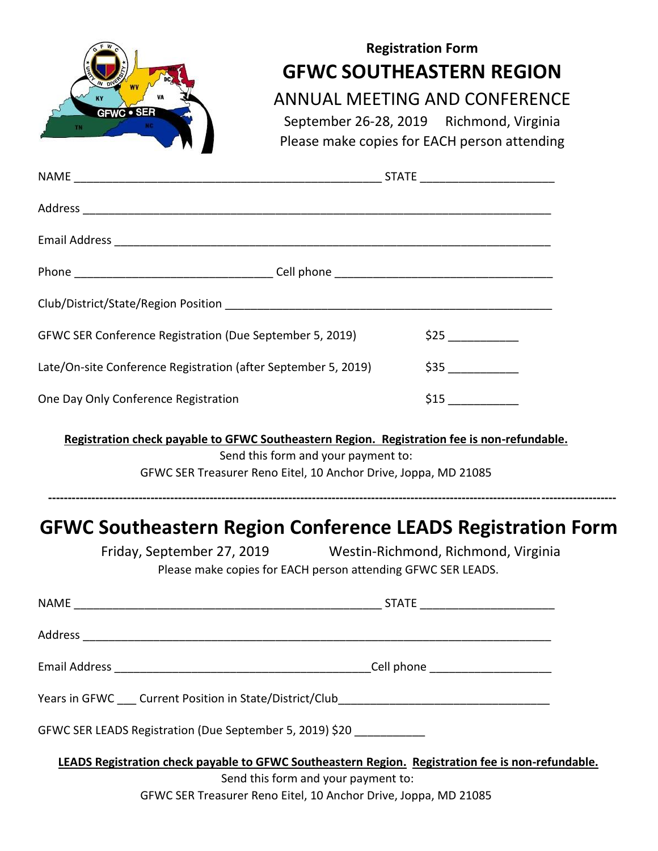| <b>GFWC · SER</b>                                                                                 |                                                                                                        | <b>Registration Form</b><br><b>GFWC SOUTHEASTERN REGION</b><br>ANNUAL MEETING AND CONFERENCE<br>September 26-28, 2019 Richmond, Virginia<br>Please make copies for EACH person attending |  |  |  |
|---------------------------------------------------------------------------------------------------|--------------------------------------------------------------------------------------------------------|------------------------------------------------------------------------------------------------------------------------------------------------------------------------------------------|--|--|--|
|                                                                                                   |                                                                                                        |                                                                                                                                                                                          |  |  |  |
|                                                                                                   |                                                                                                        |                                                                                                                                                                                          |  |  |  |
|                                                                                                   |                                                                                                        |                                                                                                                                                                                          |  |  |  |
|                                                                                                   |                                                                                                        |                                                                                                                                                                                          |  |  |  |
|                                                                                                   |                                                                                                        |                                                                                                                                                                                          |  |  |  |
| GFWC SER Conference Registration (Due September 5, 2019)                                          |                                                                                                        | \$25                                                                                                                                                                                     |  |  |  |
| Late/On-site Conference Registration (after September 5, 2019)                                    |                                                                                                        | \$35                                                                                                                                                                                     |  |  |  |
| One Day Only Conference Registration                                                              |                                                                                                        |                                                                                                                                                                                          |  |  |  |
| Registration check payable to GFWC Southeastern Region. Registration fee is non-refundable.       | Send this form and your payment to:<br>GFWC SER Treasurer Reno Eitel, 10 Anchor Drive, Joppa, MD 21085 |                                                                                                                                                                                          |  |  |  |
| <b>GFWC Southeastern Region Conference LEADS Registration Form</b>                                | Please make copies for EACH person attending GFWC SER LEADS.                                           | Friday, September 27, 2019 Westin-Richmond, Richmond, Virginia                                                                                                                           |  |  |  |
|                                                                                                   |                                                                                                        |                                                                                                                                                                                          |  |  |  |
|                                                                                                   |                                                                                                        |                                                                                                                                                                                          |  |  |  |
|                                                                                                   |                                                                                                        |                                                                                                                                                                                          |  |  |  |
|                                                                                                   |                                                                                                        |                                                                                                                                                                                          |  |  |  |
| GFWC SER LEADS Registration (Due September 5, 2019) \$20 ____________                             |                                                                                                        |                                                                                                                                                                                          |  |  |  |
| LEADS Registration check payable to GFWC Southeastern Region. Registration fee is non-refundable. | Send this form and your payment to:<br>GFWC SER Treasurer Reno Eitel, 10 Anchor Drive, Joppa, MD 21085 |                                                                                                                                                                                          |  |  |  |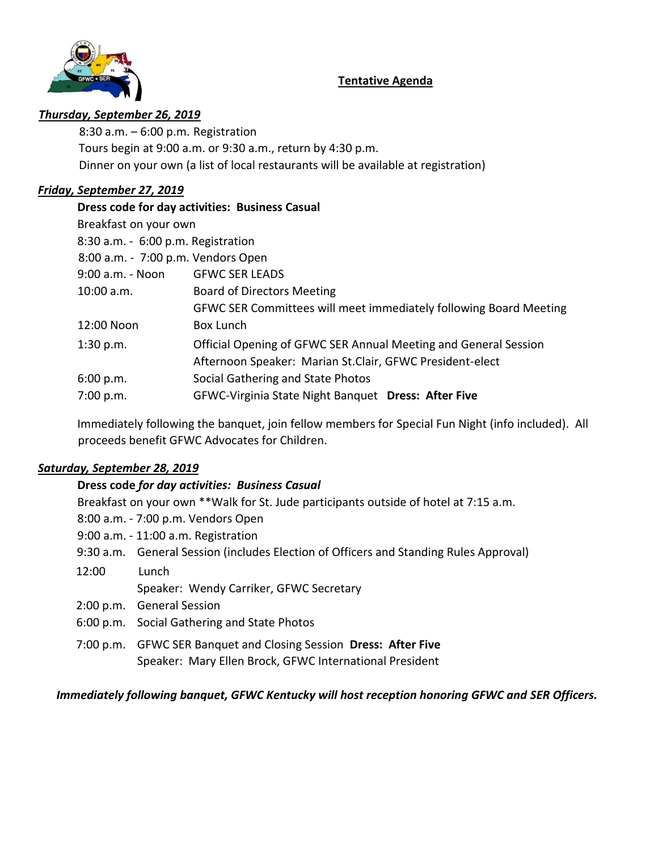#### **Tentative Agenda**



#### *Thursday, September 26, 2019*

 8:30 a.m. – 6:00 p.m. Registration Tours begin at 9:00 a.m. or 9:30 a.m., return by 4:30 p.m. Dinner on your own (a list of local restaurants will be available at registration)

#### *Friday, September 27, 2019*

| Dress code for day activities: Business Casual                    |  |  |  |  |
|-------------------------------------------------------------------|--|--|--|--|
| Breakfast on your own                                             |  |  |  |  |
| 8:30 a.m. - 6:00 p.m. Registration                                |  |  |  |  |
| 8:00 a.m. - 7:00 p.m. Vendors Open                                |  |  |  |  |
| <b>GFWC SER LEADS</b>                                             |  |  |  |  |
| <b>Board of Directors Meeting</b>                                 |  |  |  |  |
| GFWC SER Committees will meet immediately following Board Meeting |  |  |  |  |
| Box Lunch                                                         |  |  |  |  |
| Official Opening of GFWC SER Annual Meeting and General Session   |  |  |  |  |
| Afternoon Speaker: Marian St.Clair, GFWC President-elect          |  |  |  |  |
| Social Gathering and State Photos                                 |  |  |  |  |
| GFWC-Virginia State Night Banquet Dress: After Five               |  |  |  |  |
|                                                                   |  |  |  |  |

Immediately following the banquet, join fellow members for Special Fun Night (info included). All proceeds benefit GFWC Advocates for Children.

#### *Saturday, September 28, 2019*

#### **Dress code** *for day activities: Business Casual*

|                                    | Breakfast on your own ** Walk for St. Jude participants outside of hotel at 7:15 a.m. |  |  |
|------------------------------------|---------------------------------------------------------------------------------------|--|--|
| 8:00 a.m. - 7:00 p.m. Vendors Open |                                                                                       |  |  |
|                                    | 9:00 a.m. - 11:00 a.m. Registration                                                   |  |  |
|                                    | 9:30 a.m. General Session (includes Election of Officers and Standing Rules Approval) |  |  |
| 12:00                              | Lunch                                                                                 |  |  |
|                                    | Speaker: Wendy Carriker, GFWC Secretary                                               |  |  |
|                                    | 2:00 p.m. General Session                                                             |  |  |
|                                    | 6:00 p.m. Social Gathering and State Photos                                           |  |  |
|                                    | 7:00 p.m. GFWC SER Banquet and Closing Session Dress: After Five                      |  |  |
|                                    | Speaker: Mary Ellen Brock, GFWC International President                               |  |  |

#### *Immediately following banquet, GFWC Kentucky will host reception honoring GFWC and SER Officers.*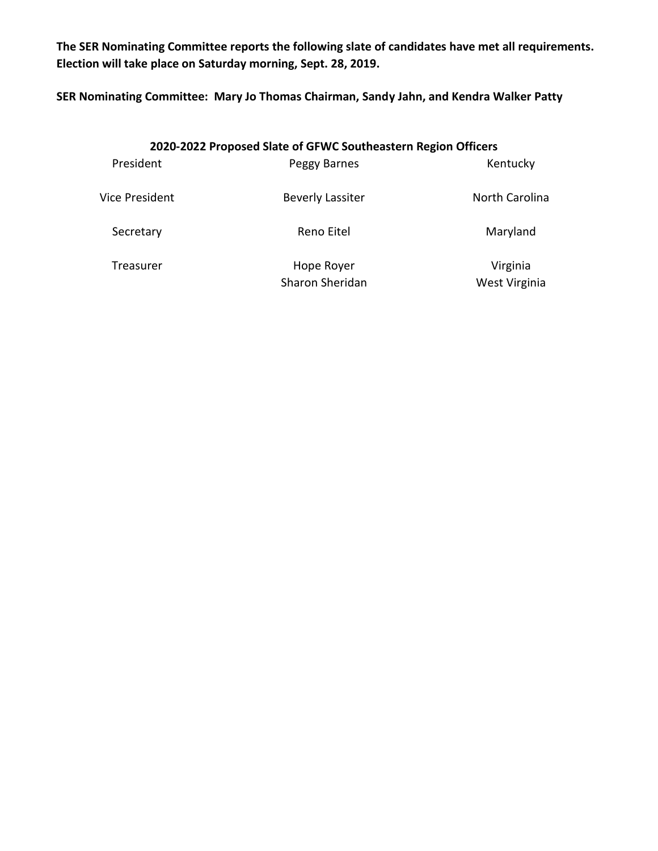**The SER Nominating Committee reports the following slate of candidates have met all requirements. Election will take place on Saturday morning, Sept. 28, 2019.**

**SER Nominating Committee: Mary Jo Thomas Chairman, Sandy Jahn, and Kendra Walker Patty**

| 2020-2022 Proposed Slate of GFWC Southeastern Region Officers |                         |                |  |  |
|---------------------------------------------------------------|-------------------------|----------------|--|--|
| President                                                     | Peggy Barnes            | Kentucky       |  |  |
| Vice President                                                | <b>Beverly Lassiter</b> | North Carolina |  |  |
| Secretary                                                     | Reno Eitel              | Maryland       |  |  |
| Treasurer                                                     | Hope Royer              | Virginia       |  |  |
|                                                               | Sharon Sheridan         | West Virginia  |  |  |